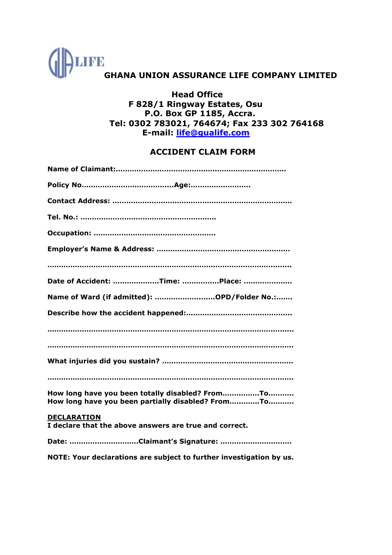

## **Head Office F 828/1 Ringway Estates, Osu P.O. Box GP 1185, Accra. Tel: 0302 783021, 764674; Fax 233 302 764168 E-mail: [life@gualife.com](mailto:life@gualife.com)**

## **ACCIDENT CLAIM FORM**

| Date of Accident: Time: Place:                                                                       |
|------------------------------------------------------------------------------------------------------|
| Name of Ward (if admitted): OPD/Folder No.:                                                          |
|                                                                                                      |
|                                                                                                      |
|                                                                                                      |
|                                                                                                      |
|                                                                                                      |
| How long have you been totally disabled? FromTo<br>How long have you been partially disabled? FromTo |
| <b>DECLARATION</b><br>I declare that the above answers are true and correct.                         |
|                                                                                                      |

**NOTE: Your declarations are subject to further investigation by us.**